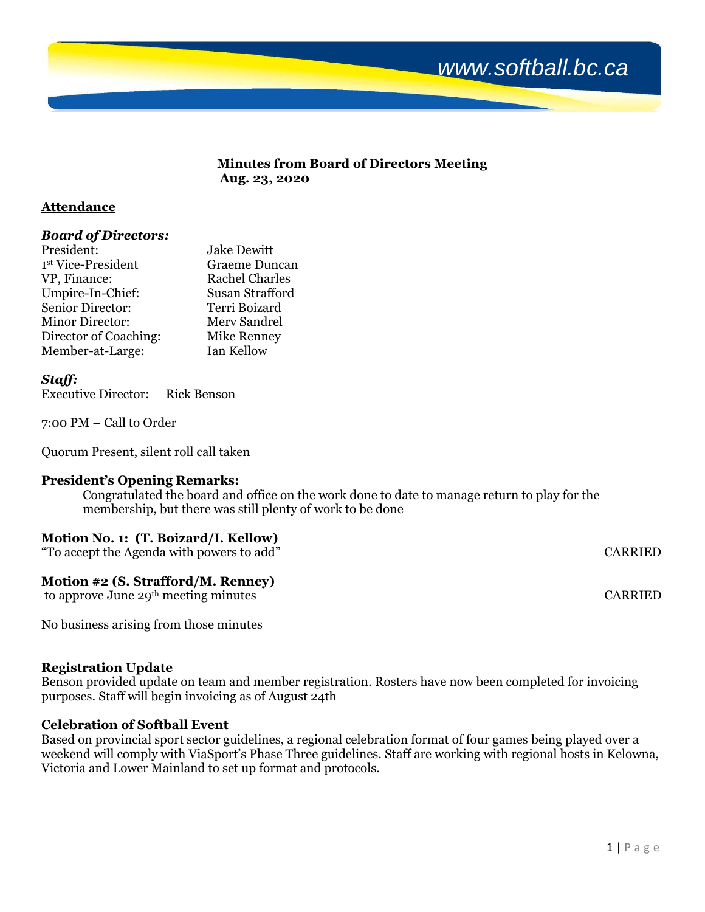# *www.softball.bc.ca*

#### **Minutes from Board of Directors Meeting Aug. 23, 2020**

#### **Attendance**

#### *Board of Directors:*

| President:             | <b>Jake Dewitt</b>    |
|------------------------|-----------------------|
| 1st Vice-President     | <b>Graeme Duncan</b>  |
| VP, Finance:           | <b>Rachel Charles</b> |
| Umpire-In-Chief:       | Susan Strafford       |
| Senior Director:       | Terri Boizard         |
| <b>Minor Director:</b> | Merv Sandrel          |
| Director of Coaching:  | Mike Renney           |
| Member-at-Large:       | Ian Kellow            |

#### *Staff:*

Executive Director: Rick Benson

7:00 PM – Call to Order

Quorum Present, silent roll call taken

#### **President's Opening Remarks:**

Congratulated the board and office on the work done to date to manage return to play for the membership, but there was still plenty of work to be done

### **Motion No. 1: (T. Boizard/I. Kellow)**

"To accept the Agenda with powers to add" CARRIED

#### **Motion #2 (S. Strafford/M. Renney)**

to approve June 29<sup>th</sup> meeting minutes CARRIED

No business arising from those minutes

#### **Registration Update**

Benson provided update on team and member registration. Rosters have now been completed for invoicing purposes. Staff will begin invoicing as of August 24th

#### **Celebration of Softball Event**

Based on provincial sport sector guidelines, a regional celebration format of four games being played over a weekend will comply with ViaSport's Phase Three guidelines. Staff are working with regional hosts in Kelowna, Victoria and Lower Mainland to set up format and protocols.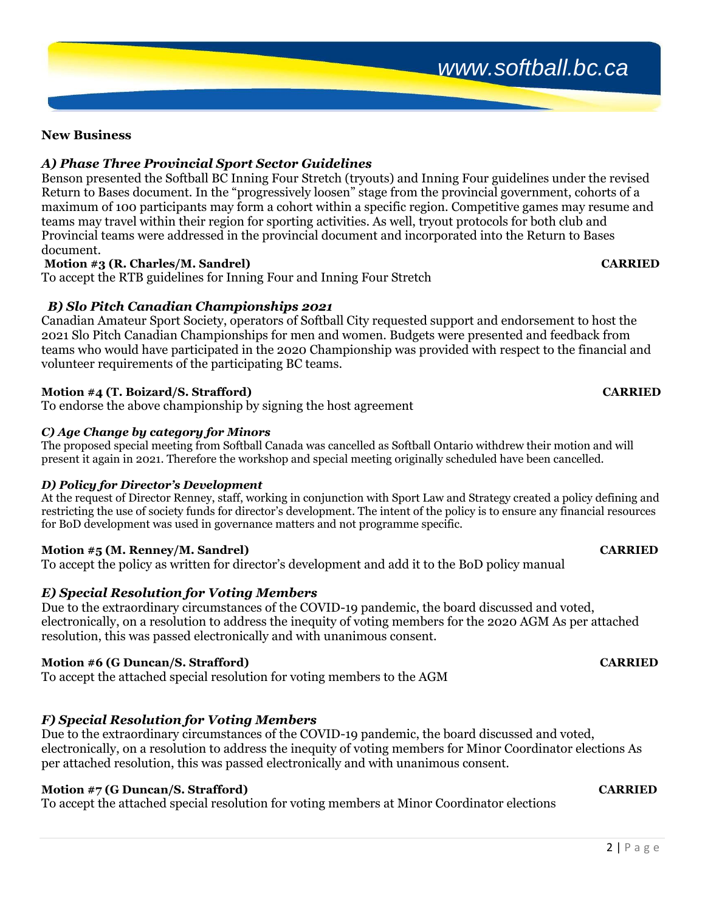## *www.softball.bc.ca*

### **New Business**

### *A) Phase Three Provincial Sport Sector Guidelines*

Benson presented the Softball BC Inning Four Stretch (tryouts) and Inning Four guidelines under the revised Return to Bases document. In the "progressively loosen" stage from the provincial government, cohorts of a maximum of 100 participants may form a cohort within a specific region. Competitive games may resume and teams may travel within their region for sporting activities. As well, tryout protocols for both club and Provincial teams were addressed in the provincial document and incorporated into the Return to Bases document.

#### **Motion #3 (R. Charles/M. Sandrel) CARRIED**

To accept the RTB guidelines for Inning Four and Inning Four Stretch

### *B) Slo Pitch Canadian Championships 2021*

Canadian Amateur Sport Society, operators of Softball City requested support and endorsement to host the 2021 Slo Pitch Canadian Championships for men and women. Budgets were presented and feedback from teams who would have participated in the 2020 Championship was provided with respect to the financial and volunteer requirements of the participating BC teams.

#### **Motion #4 (T. Boizard/S. Strafford) CARRIED**

To endorse the above championship by signing the host agreement

#### *C) Age Change by category for Minors*

The proposed special meeting from Softball Canada was cancelled as Softball Ontario withdrew their motion and will present it again in 2021. Therefore the workshop and special meeting originally scheduled have been cancelled.

#### *D) Policy for Director's Development*

At the request of Director Renney, staff, working in conjunction with Sport Law and Strategy created a policy defining and restricting the use of society funds for director's development. The intent of the policy is to ensure any financial resources for BoD development was used in governance matters and not programme specific.

#### **Motion #5 (M. Renney/M. Sandrel) CARRIED**

To accept the policy as written for director's development and add it to the BoD policy manual

### *E) Special Resolution for Voting Members*

Due to the extraordinary circumstances of the COVID-19 pandemic, the board discussed and voted, electronically, on a resolution to address the inequity of voting members for the 2020 AGM As per attached resolution, this was passed electronically and with unanimous consent.

### **Motion #6 (G Duncan/S. Strafford) CARRIED**

To accept the attached special resolution for voting members to the AGM

### *F) Special Resolution for Voting Members*

Due to the extraordinary circumstances of the COVID-19 pandemic, the board discussed and voted, electronically, on a resolution to address the inequity of voting members for Minor Coordinator elections As per attached resolution, this was passed electronically and with unanimous consent.

#### **Motion #7 (G Duncan/S. Strafford) CARRIED**

To accept the attached special resolution for voting members at Minor Coordinator elections